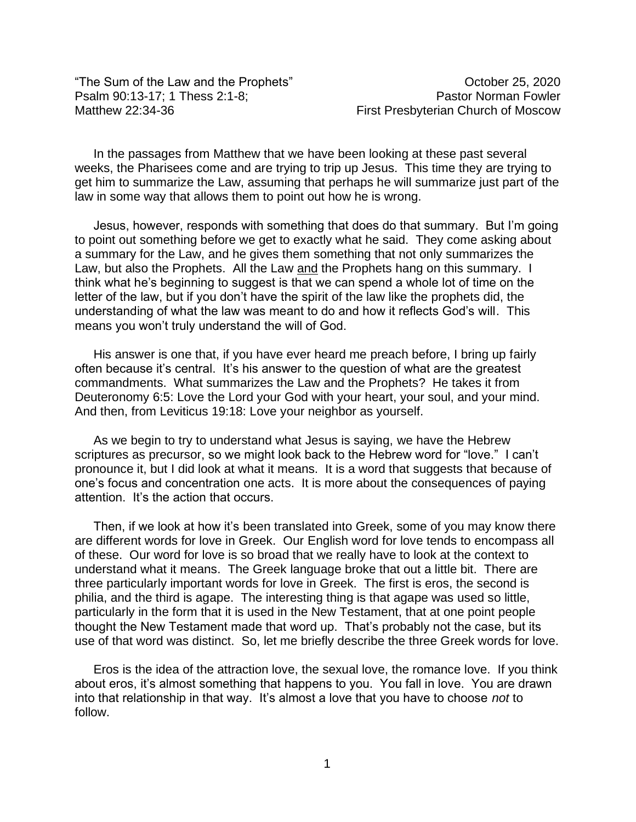"The Sum of the Law and the Prophets" The Sum october 25, 2020 Psalm 90:13-17; 1 Thess 2:1-8; Pastor Norman Fowler Matthew 22:34-36 **Matthew 22:34-36** First Presbyterian Church of Moscow

In the passages from Matthew that we have been looking at these past several weeks, the Pharisees come and are trying to trip up Jesus. This time they are trying to get him to summarize the Law, assuming that perhaps he will summarize just part of the law in some way that allows them to point out how he is wrong.

Jesus, however, responds with something that does do that summary. But I'm going to point out something before we get to exactly what he said. They come asking about a summary for the Law, and he gives them something that not only summarizes the Law, but also the Prophets. All the Law and the Prophets hang on this summary. I think what he's beginning to suggest is that we can spend a whole lot of time on the letter of the law, but if you don't have the spirit of the law like the prophets did, the understanding of what the law was meant to do and how it reflects God's will. This means you won't truly understand the will of God.

His answer is one that, if you have ever heard me preach before, I bring up fairly often because it's central. It's his answer to the question of what are the greatest commandments. What summarizes the Law and the Prophets? He takes it from Deuteronomy 6:5: Love the Lord your God with your heart, your soul, and your mind. And then, from Leviticus 19:18: Love your neighbor as yourself.

As we begin to try to understand what Jesus is saying, we have the Hebrew scriptures as precursor, so we might look back to the Hebrew word for "love." I can't pronounce it, but I did look at what it means. It is a word that suggests that because of one's focus and concentration one acts. It is more about the consequences of paying attention. It's the action that occurs.

Then, if we look at how it's been translated into Greek, some of you may know there are different words for love in Greek. Our English word for love tends to encompass all of these. Our word for love is so broad that we really have to look at the context to understand what it means. The Greek language broke that out a little bit. There are three particularly important words for love in Greek. The first is eros, the second is philia, and the third is agape. The interesting thing is that agape was used so little, particularly in the form that it is used in the New Testament, that at one point people thought the New Testament made that word up. That's probably not the case, but its use of that word was distinct. So, let me briefly describe the three Greek words for love.

Eros is the idea of the attraction love, the sexual love, the romance love. If you think about eros, it's almost something that happens to you. You fall in love. You are drawn into that relationship in that way. It's almost a love that you have to choose *not* to follow.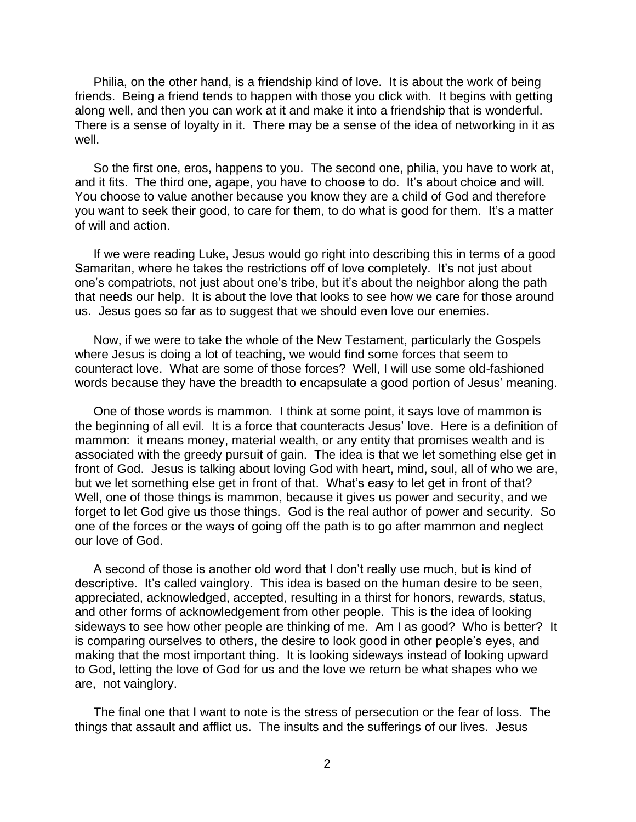Philia, on the other hand, is a friendship kind of love. It is about the work of being friends. Being a friend tends to happen with those you click with. It begins with getting along well, and then you can work at it and make it into a friendship that is wonderful. There is a sense of loyalty in it. There may be a sense of the idea of networking in it as well.

So the first one, eros, happens to you. The second one, philia, you have to work at, and it fits. The third one, agape, you have to choose to do. It's about choice and will. You choose to value another because you know they are a child of God and therefore you want to seek their good, to care for them, to do what is good for them. It's a matter of will and action.

If we were reading Luke, Jesus would go right into describing this in terms of a good Samaritan, where he takes the restrictions off of love completely. It's not just about one's compatriots, not just about one's tribe, but it's about the neighbor along the path that needs our help. It is about the love that looks to see how we care for those around us. Jesus goes so far as to suggest that we should even love our enemies.

Now, if we were to take the whole of the New Testament, particularly the Gospels where Jesus is doing a lot of teaching, we would find some forces that seem to counteract love. What are some of those forces? Well, I will use some old-fashioned words because they have the breadth to encapsulate a good portion of Jesus' meaning.

One of those words is mammon. I think at some point, it says love of mammon is the beginning of all evil. It is a force that counteracts Jesus' love. Here is a definition of mammon: it means money, material wealth, or any entity that promises wealth and is associated with the greedy pursuit of gain. The idea is that we let something else get in front of God. Jesus is talking about loving God with heart, mind, soul, all of who we are, but we let something else get in front of that. What's easy to let get in front of that? Well, one of those things is mammon, because it gives us power and security, and we forget to let God give us those things. God is the real author of power and security. So one of the forces or the ways of going off the path is to go after mammon and neglect our love of God.

A second of those is another old word that I don't really use much, but is kind of descriptive. It's called vainglory. This idea is based on the human desire to be seen, appreciated, acknowledged, accepted, resulting in a thirst for honors, rewards, status, and other forms of acknowledgement from other people. This is the idea of looking sideways to see how other people are thinking of me. Am I as good? Who is better? It is comparing ourselves to others, the desire to look good in other people's eyes, and making that the most important thing. It is looking sideways instead of looking upward to God, letting the love of God for us and the love we return be what shapes who we are, not vainglory.

The final one that I want to note is the stress of persecution or the fear of loss. The things that assault and afflict us. The insults and the sufferings of our lives. Jesus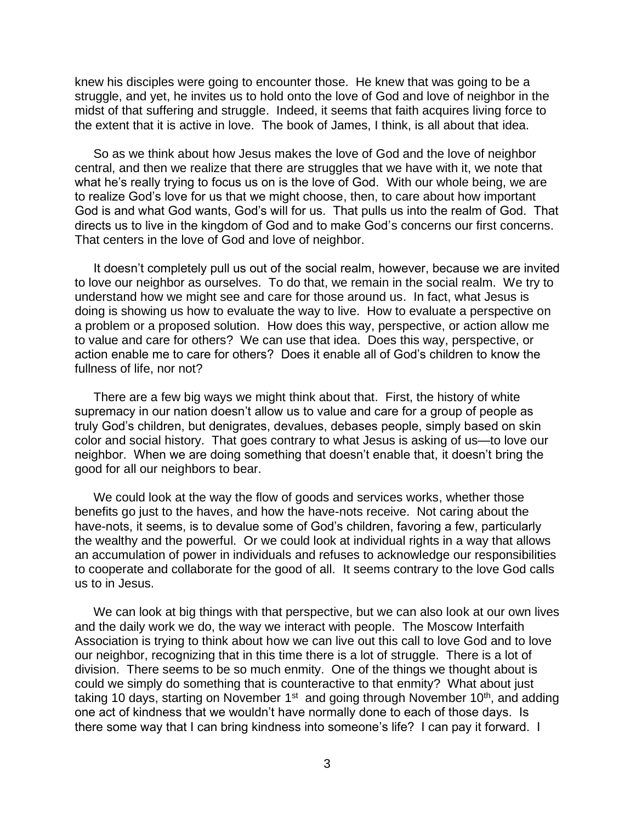knew his disciples were going to encounter those. He knew that was going to be a struggle, and yet, he invites us to hold onto the love of God and love of neighbor in the midst of that suffering and struggle. Indeed, it seems that faith acquires living force to the extent that it is active in love. The book of James, I think, is all about that idea.

So as we think about how Jesus makes the love of God and the love of neighbor central, and then we realize that there are struggles that we have with it, we note that what he's really trying to focus us on is the love of God. With our whole being, we are to realize God's love for us that we might choose, then, to care about how important God is and what God wants, God's will for us. That pulls us into the realm of God. That directs us to live in the kingdom of God and to make God's concerns our first concerns. That centers in the love of God and love of neighbor.

It doesn't completely pull us out of the social realm, however, because we are invited to love our neighbor as ourselves. To do that, we remain in the social realm. We try to understand how we might see and care for those around us. In fact, what Jesus is doing is showing us how to evaluate the way to live. How to evaluate a perspective on a problem or a proposed solution. How does this way, perspective, or action allow me to value and care for others? We can use that idea. Does this way, perspective, or action enable me to care for others? Does it enable all of God's children to know the fullness of life, nor not?

There are a few big ways we might think about that. First, the history of white supremacy in our nation doesn't allow us to value and care for a group of people as truly God's children, but denigrates, devalues, debases people, simply based on skin color and social history. That goes contrary to what Jesus is asking of us—to love our neighbor. When we are doing something that doesn't enable that, it doesn't bring the good for all our neighbors to bear.

We could look at the way the flow of goods and services works, whether those benefits go just to the haves, and how the have-nots receive. Not caring about the have-nots, it seems, is to devalue some of God's children, favoring a few, particularly the wealthy and the powerful. Or we could look at individual rights in a way that allows an accumulation of power in individuals and refuses to acknowledge our responsibilities to cooperate and collaborate for the good of all. It seems contrary to the love God calls us to in Jesus.

We can look at big things with that perspective, but we can also look at our own lives and the daily work we do, the way we interact with people. The Moscow Interfaith Association is trying to think about how we can live out this call to love God and to love our neighbor, recognizing that in this time there is a lot of struggle. There is a lot of division. There seems to be so much enmity. One of the things we thought about is could we simply do something that is counteractive to that enmity? What about just taking 10 days, starting on November 1<sup>st</sup> and going through November 10<sup>th</sup>, and adding one act of kindness that we wouldn't have normally done to each of those days. Is there some way that I can bring kindness into someone's life? I can pay it forward. I